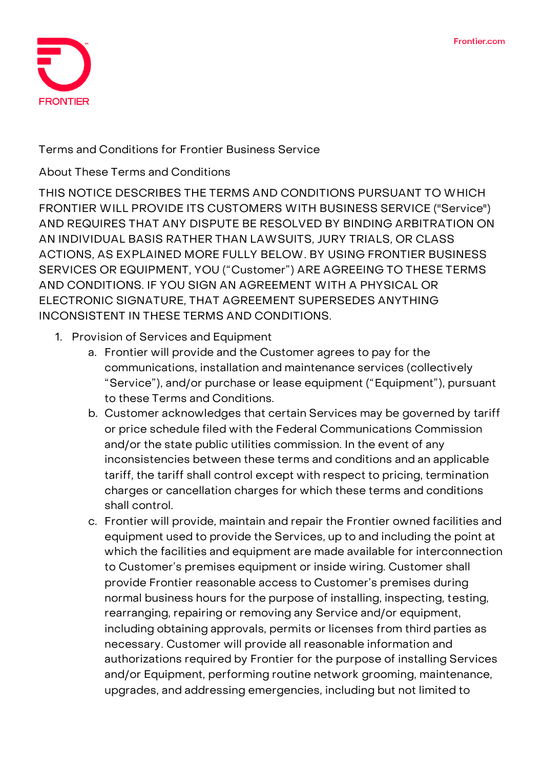

**Terms and Conditions for Frontier Business Service**

**About These Terms and Conditions**

**THIS NOTICE DESCRIBES THE TERMS AND CONDITIONS PURSUANT TO WHICH FRONTIER WILL PROVIDE ITS CUSTOMERS WITH BUSINESS SERVICE ("Service") AND REQUIRES THAT ANY DISPUTE BE RESOLVED BY BINDING ARBITRATION ON AN INDIVIDUAL BASIS RATHER THAN LAWSUITS, JURY TRIALS, OR CLASS ACTIONS, AS EXPLAINED MORE FULLY BELOW. BY USING FRONTIER BUSINESS SERVICES OR EQUIPMENT, YOU ("Customer") ARE AGREEING TO THESE TERMS AND CONDITIONS. IF YOU SIGN AN AGREEMENT WITH A PHYSICAL OR ELECTRONIC SIGNATURE, THAT AGREEMENT SUPERSEDES ANYTHING INCONSISTENT IN THESE TERMS AND CONDITIONS.**

- **1. Provision of Services and Equipment**
	- a. Frontier will provide and the Customer agrees to pay for the communications, installation and maintenance services (collectively "**Service**"), and/or purchase or lease equipment ("**Equipment**"), pursuant to these Terms and Conditions.
	- b. Customer acknowledges that certain Services may be governed by tariff or price schedule filed with the Federal Communications Commission and/or the state public utilities commission. In the event of any inconsistencies between these terms and conditions and an applicable tariff, the tariff shall control except with respect to pricing, termination charges or cancellation charges for which these terms and conditions shall control.
	- c. Frontier will provide, maintain and repair the Frontier owned facilities and equipment used to provide the Services, up to and including the point at which the facilities and equipment are made available for interconnection to Customer's premises equipment or inside wiring. Customer shall provide Frontier reasonable access to Customer's premises during normal business hours for the purpose of installing, inspecting, testing, rearranging, repairing or removing any Service and/or equipment, including obtaining approvals, permits or licenses from third parties as necessary. Customer will provide all reasonable information and authorizations required by Frontier for the purpose of installing Services and/or Equipment, performing routine network grooming, maintenance, upgrades, and addressing emergencies, including but not limited to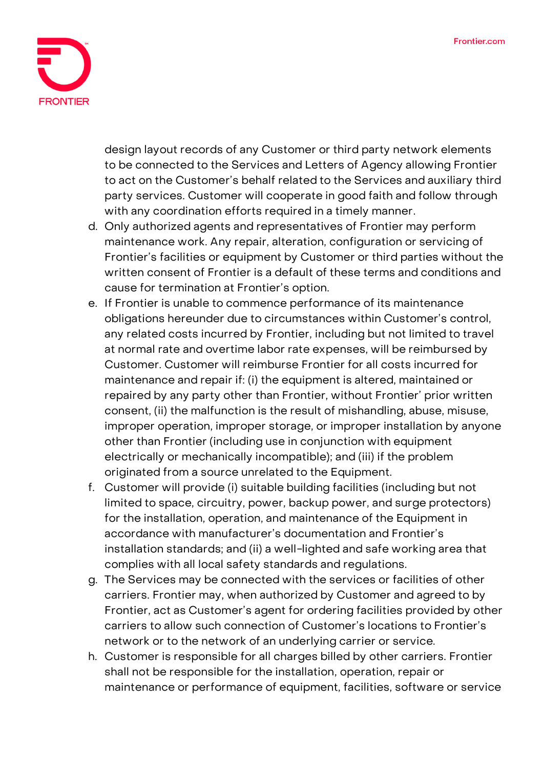

design layout records of any Customer or third party network elements to be connected to the Services and Letters of Agency allowing Frontier to act on the Customer's behalf related to the Services and auxiliary third party services. Customer will cooperate in good faith and follow through with any coordination efforts required in a timely manner.

- d. Only authorized agents and representatives of Frontier may perform maintenance work. Any repair, alteration, configuration or servicing of Frontier's facilities or equipment by Customer or third parties without the written consent of Frontier is a default of these terms and conditions and cause for termination at Frontier's option.
- e. If Frontier is unable to commence performance of its maintenance obligations hereunder due to circumstances within Customer's control, any related costs incurred by Frontier, including but not limited to travel at normal rate and overtime labor rate expenses, will be reimbursed by Customer. Customer will reimburse Frontier for all costs incurred for maintenance and repair if: (i) the equipment is altered, maintained or repaired by any party other than Frontier, without Frontier' prior written consent, (ii) the malfunction is the result of mishandling, abuse, misuse, improper operation, improper storage, or improper installation by anyone other than Frontier (including use in conjunction with equipment electrically or mechanically incompatible); and (iii) if the problem originated from a source unrelated to the Equipment.
- f. Customer will provide (i) suitable building facilities (including but not limited to space, circuitry, power, backup power, and surge protectors) for the installation, operation, and maintenance of the Equipment in accordance with manufacturer's documentation and Frontier's installation standards; and (ii) a well-lighted and safe working area that complies with all local safety standards and regulations.
- g. The Services may be connected with the services or facilities of other carriers. Frontier may, when authorized by Customer and agreed to by Frontier, act as Customer's agent for ordering facilities provided by other carriers to allow such connection of Customer's locations to Frontier's network or to the network of an underlying carrier or service.
- h. Customer is responsible for all charges billed by other carriers. Frontier shall not be responsible for the installation, operation, repair or maintenance or performance of equipment, facilities, software or service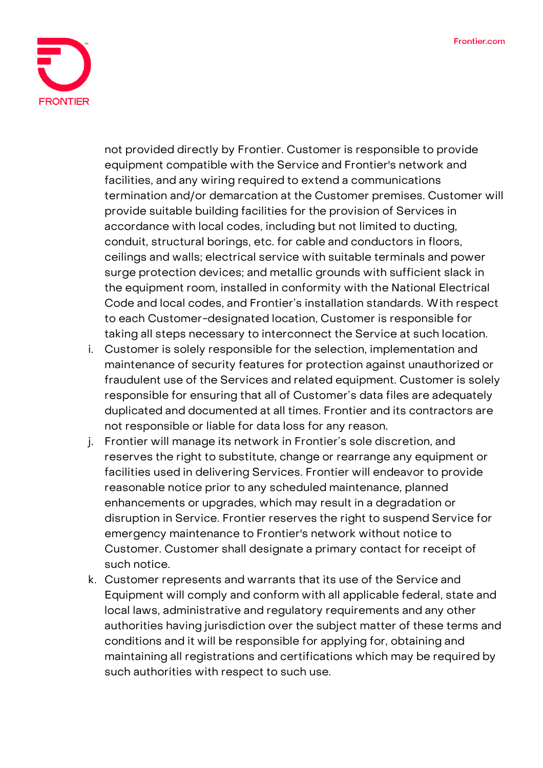

not provided directly by Frontier. Customer is responsible to provide equipment compatible with the Service and Frontier's network and facilities, and any wiring required to extend a communications termination and/or demarcation at the Customer premises. Customer will provide suitable building facilities for the provision of Services in accordance with local codes, including but not limited to ducting, conduit, structural borings, etc. for cable and conductors in floors, ceilings and walls; electrical service with suitable terminals and power surge protection devices; and metallic grounds with sufficient slack in the equipment room, installed in conformity with the National Electrical Code and local codes, and Frontier's installation standards. With respect to each Customer-designated location, Customer is responsible for taking all steps necessary to interconnect the Service at such location.

- i. Customer is solely responsible for the selection, implementation and maintenance of security features for protection against unauthorized or fraudulent use of the Services and related equipment. Customer is solely responsible for ensuring that all of Customer's data files are adequately duplicated and documented at all times. Frontier and its contractors are not responsible or liable for data loss for any reason.
- j. Frontier will manage its network in Frontier's sole discretion, and reserves the right to substitute, change or rearrange any equipment or facilities used in delivering Services. Frontier will endeavor to provide reasonable notice prior to any scheduled maintenance, planned enhancements or upgrades, which may result in a degradation or disruption in Service. Frontier reserves the right to suspend Service for emergency maintenance to Frontier's network without notice to Customer. Customer shall designate a primary contact for receipt of such notice.
- k. Customer represents and warrants that its use of the Service and Equipment will comply and conform with all applicable federal, state and local laws, administrative and regulatory requirements and any other authorities having jurisdiction over the subject matter of these terms and conditions and it will be responsible for applying for, obtaining and maintaining all registrations and certifications which may be required by such authorities with respect to such use.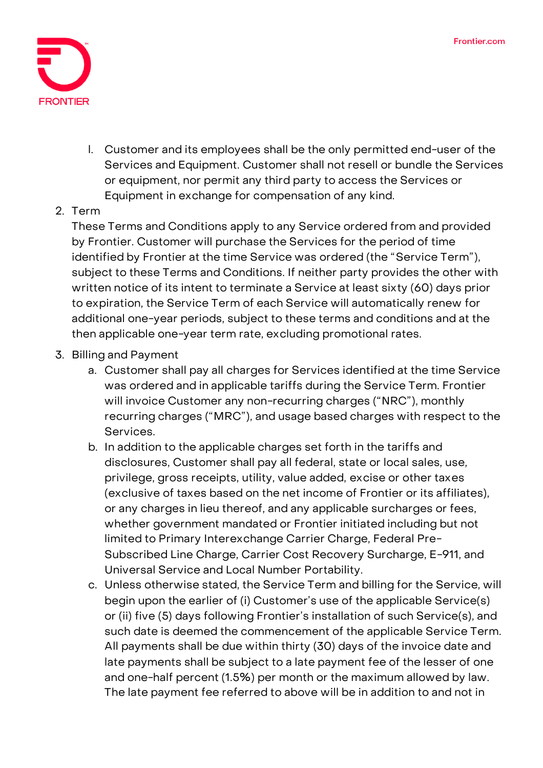

l. Customer and its employees shall be the only permitted end-user of the Services and Equipment. Customer shall not resell or bundle the Services or equipment, nor permit any third party to access the Services or Equipment in exchange for compensation of any kind.

## **2. Term**

These Terms and Conditions apply to any Service ordered from and provided by Frontier. Customer will purchase the Services for the period of time identified by Frontier at the time Service was ordered (the "**Service Term**"), subject to these Terms and Conditions. If neither party provides the other with written notice of its intent to terminate a Service at least sixty (60) days prior to expiration, the Service Term of each Service will automatically renew for additional one-year periods, subject to these terms and conditions and at the then applicable one-year term rate, excluding promotional rates.

## **3. Billing and Payment**

- a. Customer shall pay all charges for Services identified at the time Service was ordered and in applicable tariffs during the Service Term. Frontier will invoice Customer any non-recurring charges ("NRC"), monthly recurring charges ("MRC"), and usage based charges with respect to the Services.
- b. In addition to the applicable charges set forth in the tariffs and disclosures, Customer shall pay all federal, state or local sales, use, privilege, gross receipts, utility, value added, excise or other taxes (exclusive of taxes based on the net income of Frontier or its affiliates), or any charges in lieu thereof, and any applicable surcharges or fees, whether government mandated or Frontier initiated including but not limited to Primary Interexchange Carrier Charge, Federal Pre-Subscribed Line Charge, Carrier Cost Recovery Surcharge, E-911, and Universal Service and Local Number Portability.
- c. Unless otherwise stated, the Service Term and billing for the Service, will begin upon the earlier of (i) Customer's use of the applicable Service(s) or (ii) five (5) days following Frontier's installation of such Service(s), and such date is deemed the commencement of the applicable Service Term. All payments shall be due within thirty (30) days of the invoice date and late payments shall be subject to a late payment fee of the lesser of one and one-half percent (1.5%) per month or the maximum allowed by law. The late payment fee referred to above will be in addition to and not in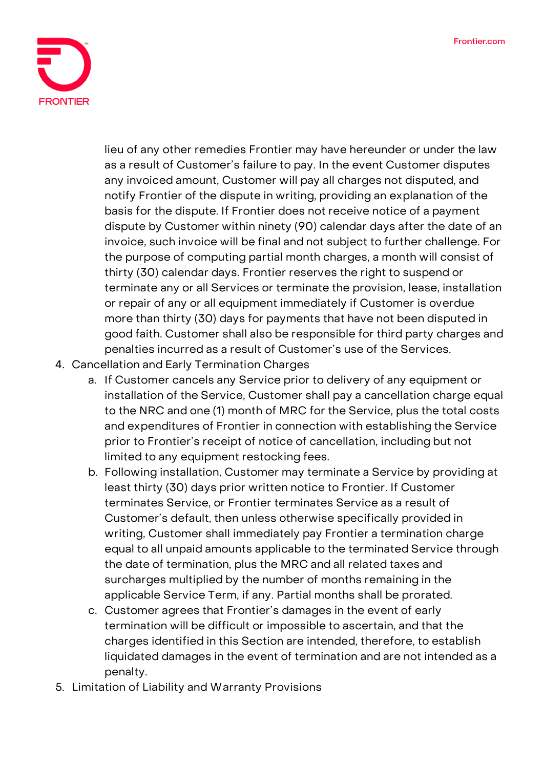

lieu of any other remedies Frontier may have hereunder or under the law as a result of Customer's failure to pay. In the event Customer disputes any invoiced amount, Customer will pay all charges not disputed, and notify Frontier of the dispute in writing, providing an explanation of the basis for the dispute. If Frontier does not receive notice of a payment dispute by Customer within ninety (90) calendar days after the date of an invoice, such invoice will be final and not subject to further challenge. For the purpose of computing partial month charges, a month will consist of thirty (30) calendar days. Frontier reserves the right to suspend or terminate any or all Services or terminate the provision, lease, installation or repair of any or all equipment immediately if Customer is overdue more than thirty (30) days for payments that have not been disputed in good faith. Customer shall also be responsible for third party charges and penalties incurred as a result of Customer's use of the Services.

- **4. Cancellation and Early Termination Charges**
	- a. If Customer cancels any Service prior to delivery of any equipment or installation of the Service, Customer shall pay a cancellation charge equal to the NRC and one (1) month of MRC for the Service, plus the total costs and expenditures of Frontier in connection with establishing the Service prior to Frontier's receipt of notice of cancellation, including but not limited to any equipment restocking fees.
	- b. Following installation, Customer may terminate a Service by providing at least thirty (30) days prior written notice to Frontier. If Customer terminates Service, or Frontier terminates Service as a result of Customer's default, then unless otherwise specifically provided in writing, Customer shall immediately pay Frontier a termination charge equal to all unpaid amounts applicable to the terminated Service through the date of termination, plus the MRC and all related taxes and surcharges multiplied by the number of months remaining in the applicable Service Term, if any. Partial months shall be prorated.
	- c. Customer agrees that Frontier's damages in the event of early termination will be difficult or impossible to ascertain, and that the charges identified in this Section are intended, therefore, to establish liquidated damages in the event of termination and are not intended as a penalty.
- **5. Limitation of Liability and Warranty Provisions**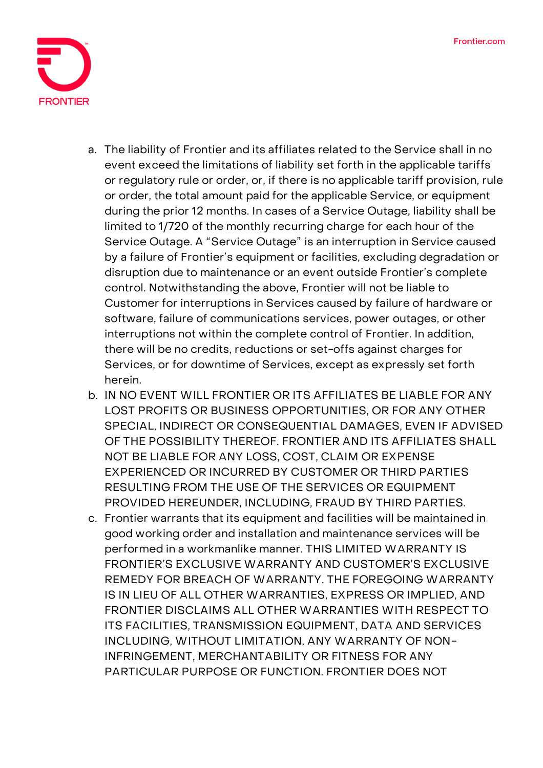

- a. The liability of Frontier and its affiliates related to the Service shall in no event exceed the limitations of liability set forth in the applicable tariffs or regulatory rule or order, or, if there is no applicable tariff provision, rule or order, the total amount paid for the applicable Service, or equipment during the prior 12 months. In cases of a Service Outage, liability shall be limited to 1/720 of the monthly recurring charge for each hour of the Service Outage. A "**Service Outage**" is an interruption in Service caused by a failure of Frontier's equipment or facilities, excluding degradation or disruption due to maintenance or an event outside Frontier's complete control. Notwithstanding the above, Frontier will not be liable to Customer for interruptions in Services caused by failure of hardware or software, failure of communications services, power outages, or other interruptions not within the complete control of Frontier. In addition, there will be no credits, reductions or set-offs against charges for Services, or for downtime of Services, except as expressly set forth herein.
- **b. IN NO EVENT WILL FRONTIER OR ITS AFFILIATES BE LIABLE FOR ANY LOST PROFITS OR BUSINESS OPPORTUNITIES, OR FOR ANY OTHER SPECIAL, INDIRECT OR CONSEQUENTIAL DAMAGES, EVEN IF ADVISED OF THE POSSIBILITY THEREOF. FRONTIER AND ITS AFFILIATES SHALL NOT BE LIABLE FOR ANY LOSS, COST, CLAIM OR EXPENSE EXPERIENCED OR INCURRED BY CUSTOMER OR THIRD PARTIES RESULTING FROM THE USE OF THE SERVICES OR EQUIPMENT PROVIDED HEREUNDER, INCLUDING, FRAUD BY THIRD PARTIES.**
- c. Frontier warrants that its equipment and facilities will be maintained in good working order and installation and maintenance services will be performed in a workmanlike manner. **THIS LIMITED WARRANTY IS FRONTIER'S EXCLUSIVE WARRANTY AND CUSTOMER'S EXCLUSIVE REMEDY FOR BREACH OF WARRANTY. THE FOREGOING WARRANTY IS IN LIEU OF ALL OTHER WARRANTIES, EXPRESS OR IMPLIED, AND FRONTIER DISCLAIMS ALL OTHER WARRANTIES WITH RESPECT TO ITS FACILITIES, TRANSMISSION EQUIPMENT, DATA AND SERVICES INCLUDING, WITHOUT LIMITATION, ANY WARRANTY OF NON-INFRINGEMENT, MERCHANTABILITY OR FITNESS FOR ANY PARTICULAR PURPOSE OR FUNCTION. FRONTIER DOES NOT**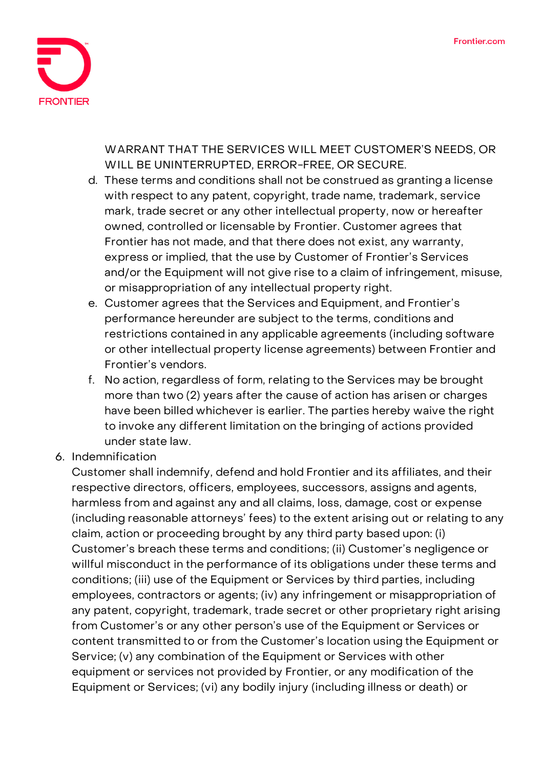

**WARRANT THAT THE SERVICES WILL MEET CUSTOMER'S NEEDS, OR WILL BE UNINTERRUPTED, ERROR-FREE, OR SECURE.**

- d. These terms and conditions shall not be construed as granting a license with respect to any patent, copyright, trade name, trademark, service mark, trade secret or any other intellectual property, now or hereafter owned, controlled or licensable by Frontier. Customer agrees that Frontier has not made, and that there does not exist, any warranty, express or implied, that the use by Customer of Frontier's Services and/or the Equipment will not give rise to a claim of infringement, misuse, or misappropriation of any intellectual property right.
- e. Customer agrees that the Services and Equipment, and Frontier's performance hereunder are subject to the terms, conditions and restrictions contained in any applicable agreements (including software or other intellectual property license agreements) between Frontier and Frontier's vendors.
- f. No action, regardless of form, relating to the Services may be brought more than two (2) years after the cause of action has arisen or charges have been billed whichever is earlier. The parties hereby waive the right to invoke any different limitation on the bringing of actions provided under state law.
- **6. Indemnification**

Customer shall indemnify, defend and hold Frontier and its affiliates, and their respective directors, officers, employees, successors, assigns and agents, harmless from and against any and all claims, loss, damage, cost or expense (including reasonable attorneys' fees) to the extent arising out or relating to any claim, action or proceeding brought by any third party based upon: (i) Customer's breach these terms and conditions; (ii) Customer's negligence or willful misconduct in the performance of its obligations under these terms and conditions; (iii) use of the Equipment or Services by third parties, including employees, contractors or agents; (iv) any infringement or misappropriation of any patent, copyright, trademark, trade secret or other proprietary right arising from Customer's or any other person's use of the Equipment or Services or content transmitted to or from the Customer's location using the Equipment or Service; (v) any combination of the Equipment or Services with other equipment or services not provided by Frontier, or any modification of the Equipment or Services; (vi) any bodily injury (including illness or death) or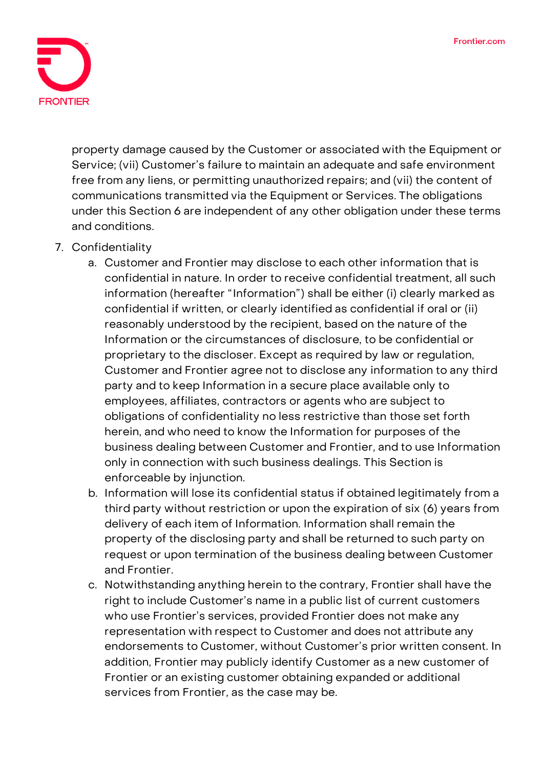

property damage caused by the Customer or associated with the Equipment or Service; (vii) Customer's failure to maintain an adequate and safe environment free from any liens, or permitting unauthorized repairs; and (vii) the content of communications transmitted via the Equipment or Services. The obligations under this Section 6 are independent of any other obligation under these terms and conditions.

- **7. Confidentiality**
	- a. Customer and Frontier may disclose to each other information that is confidential in nature. In order to receive confidential treatment, all such information (hereafter "**Information**") shall be either (i) clearly marked as confidential if written, or clearly identified as confidential if oral or (ii) reasonably understood by the recipient, based on the nature of the Information or the circumstances of disclosure, to be confidential or proprietary to the discloser. Except as required by law or regulation, Customer and Frontier agree not to disclose any information to any third party and to keep Information in a secure place available only to employees, affiliates, contractors or agents who are subject to obligations of confidentiality no less restrictive than those set forth herein, and who need to know the Information for purposes of the business dealing between Customer and Frontier, and to use Information only in connection with such business dealings. This Section is enforceable by injunction.
	- b. Information will lose its confidential status if obtained legitimately from a third party without restriction or upon the expiration of six (6) years from delivery of each item of Information. Information shall remain the property of the disclosing party and shall be returned to such party on request or upon termination of the business dealing between Customer and Frontier.
	- c. Notwithstanding anything herein to the contrary, Frontier shall have the right to include Customer's name in a public list of current customers who use Frontier's services, provided Frontier does not make any representation with respect to Customer and does not attribute any endorsements to Customer, without Customer's prior written consent. In addition, Frontier may publicly identify Customer as a new customer of Frontier or an existing customer obtaining expanded or additional services from Frontier, as the case may be.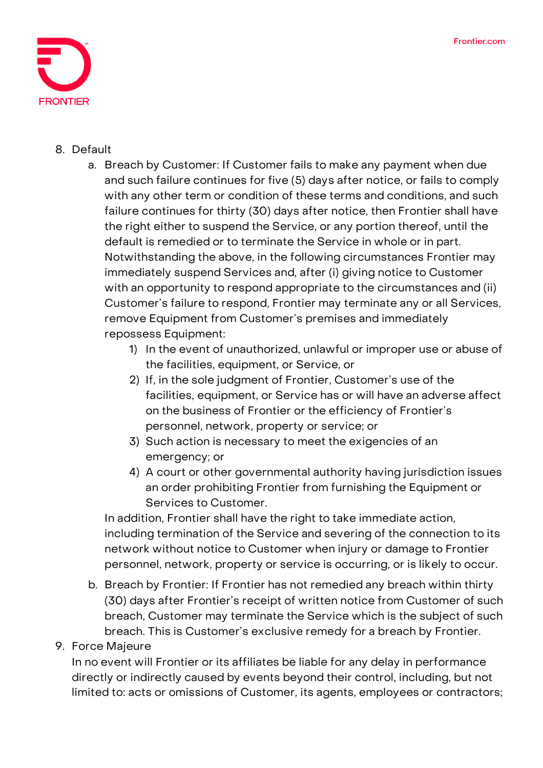

## **8. Default**

- a. **Breach by Customer:** If Customer fails to make any payment when due and such failure continues for five (5) days after notice, or fails to comply with any other term or condition of these terms and conditions, and such failure continues for thirty (30) days after notice, then Frontier shall have the right either to suspend the Service, or any portion thereof, until the default is remedied or to terminate the Service in whole or in part. Notwithstanding the above, in the following circumstances Frontier may immediately suspend Services and, after (i) giving notice to Customer with an opportunity to respond appropriate to the circumstances and (ii) Customer's failure to respond, Frontier may terminate any or all Services, remove Equipment from Customer's premises and immediately repossess Equipment:
	- 1) In the event of unauthorized, unlawful or improper use or abuse of the facilities, equipment, or Service, or
	- 2) If, in the sole judgment of Frontier, Customer's use of the facilities, equipment, or Service has or will have an adverse affect on the business of Frontier or the efficiency of Frontier's personnel, network, property or service; or
	- 3) Such action is necessary to meet the exigencies of an emergency; or
	- 4) A court or other governmental authority having jurisdiction issues an order prohibiting Frontier from furnishing the Equipment or Services to Customer.

In addition, Frontier shall have the right to take immediate action, including termination of the Service and severing of the connection to its network without notice to Customer when injury or damage to Frontier personnel, network, property or service is occurring, or is likely to occur.

b. **Breach by Frontier:** If Frontier has not remedied any breach within thirty (30) days after Frontier's receipt of written notice from Customer of such breach, Customer may terminate the Service which is the subject of such breach. This is Customer's exclusive remedy for a breach by Frontier.

## **9. Force Majeure**

In no event will Frontier or its affiliates be liable for any delay in performance directly or indirectly caused by events beyond their control, including, but not limited to: acts or omissions of Customer, its agents, employees or contractors;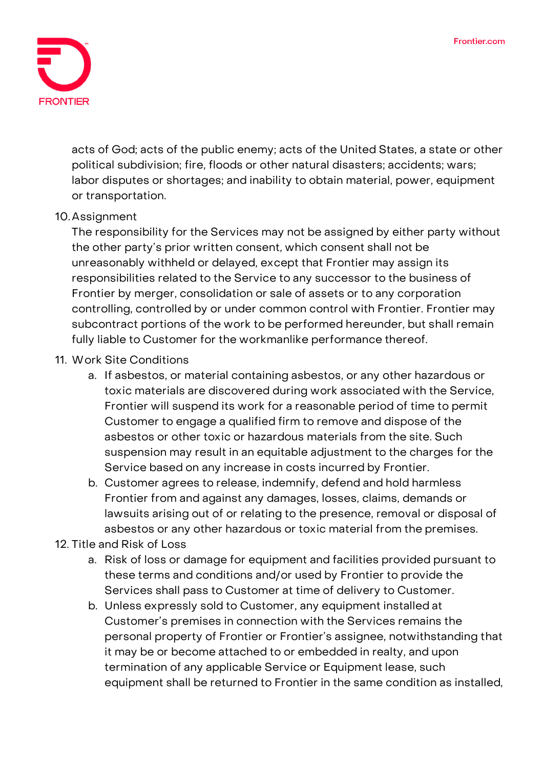

acts of God; acts of the public enemy; acts of the United States, a state or other political subdivision; fire, floods or other natural disasters; accidents; wars; labor disputes or shortages; and inability to obtain material, power, equipment or transportation.

#### **10.Assignment**

The responsibility for the Services may not be assigned by either party without the other party's prior written consent, which consent shall not be unreasonably withheld or delayed, except that Frontier may assign its responsibilities related to the Service to any successor to the business of Frontier by merger, consolidation or sale of assets or to any corporation controlling, controlled by or under common control with Frontier. Frontier may subcontract portions of the work to be performed hereunder, but shall remain fully liable to Customer for the workmanlike performance thereof.

#### **11. Work Site Conditions**

- a. If asbestos, or material containing asbestos, or any other hazardous or toxic materials are discovered during work associated with the Service, Frontier will suspend its work for a reasonable period of time to permit Customer to engage a qualified firm to remove and dispose of the asbestos or other toxic or hazardous materials from the site. Such suspension may result in an equitable adjustment to the charges for the Service based on any increase in costs incurred by Frontier.
- b. Customer agrees to release, indemnify, defend and hold harmless Frontier from and against any damages, losses, claims, demands or lawsuits arising out of or relating to the presence, removal or disposal of asbestos or any other hazardous or toxic material from the premises.

#### **12. Title and Risk of Loss**

- a. Risk of loss or damage for equipment and facilities provided pursuant to these terms and conditions and/or used by Frontier to provide the Services shall pass to Customer at time of delivery to Customer.
- b. Unless expressly sold to Customer, any equipment installed at Customer's premises in connection with the Services remains the personal property of Frontier or Frontier's assignee, notwithstanding that it may be or become attached to or embedded in realty, and upon termination of any applicable Service or Equipment lease, such equipment shall be returned to Frontier in the same condition as installed,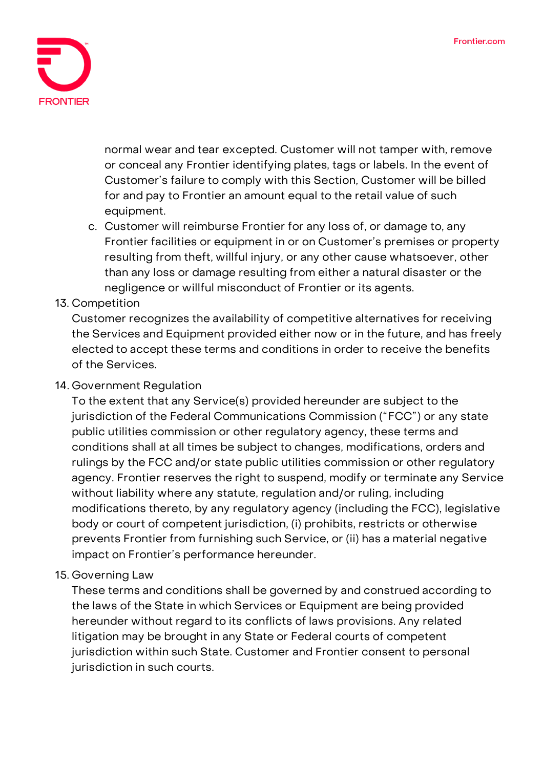

normal wear and tear excepted. Customer will not tamper with, remove or conceal any Frontier identifying plates, tags or labels. In the event of Customer's failure to comply with this Section, Customer will be billed for and pay to Frontier an amount equal to the retail value of such equipment.

c. Customer will reimburse Frontier for any loss of, or damage to, any Frontier facilities or equipment in or on Customer's premises or property resulting from theft, willful injury, or any other cause whatsoever, other than any loss or damage resulting from either a natural disaster or the negligence or willful misconduct of Frontier or its agents.

# **13. Competition**

Customer recognizes the availability of competitive alternatives for receiving the Services and Equipment provided either now or in the future, and has freely elected to accept these terms and conditions in order to receive the benefits of the Services.

## **14. Government Regulation**

To the extent that any Service(s) provided hereunder are subject to the jurisdiction of the Federal Communications Commission ("FCC") or any state public utilities commission or other regulatory agency, these terms and conditions shall at all times be subject to changes, modifications, orders and rulings by the FCC and/or state public utilities commission or other regulatory agency. Frontier reserves the right to suspend, modify or terminate any Service without liability where any statute, regulation and/or ruling, including modifications thereto, by any regulatory agency (including the FCC), legislative body or court of competent jurisdiction, (i) prohibits, restricts or otherwise prevents Frontier from furnishing such Service, or (ii) has a material negative impact on Frontier's performance hereunder.

## **15. Governing Law**

These terms and conditions shall be governed by and construed according to the laws of the State in which Services or Equipment are being provided hereunder without regard to its conflicts of laws provisions. Any related litigation may be brought in any State or Federal courts of competent jurisdiction within such State. Customer and Frontier consent to personal jurisdiction in such courts.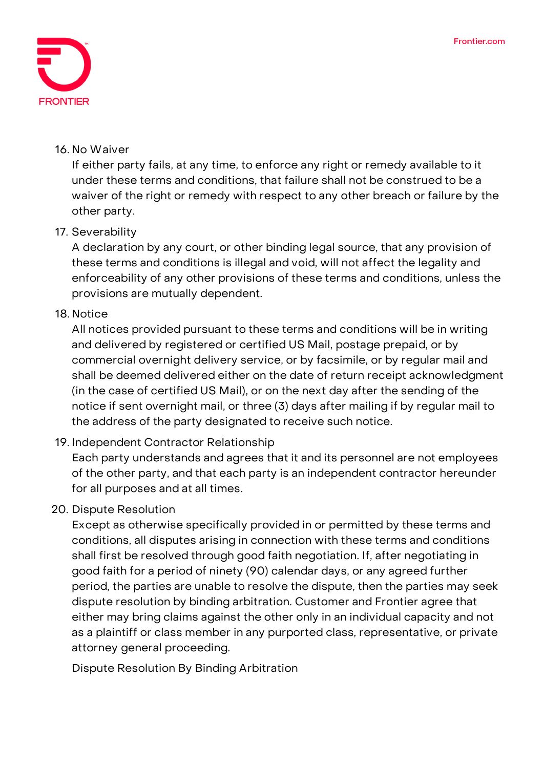

#### **16. No Waiver**

If either party fails, at any time, to enforce any right or remedy available to it under these terms and conditions, that failure shall not be construed to be a waiver of the right or remedy with respect to any other breach or failure by the other party.

## **17. Severability**

A declaration by any court, or other binding legal source, that any provision of these terms and conditions is illegal and void, will not affect the legality and enforceability of any other provisions of these terms and conditions, unless the provisions are mutually dependent.

# **18. Notice**

All notices provided pursuant to these terms and conditions will be in writing and delivered by registered or certified US Mail, postage prepaid, or by commercial overnight delivery service, or by facsimile, or by regular mail and shall be deemed delivered either on the date of return receipt acknowledgment (in the case of certified US Mail), or on the next day after the sending of the notice if sent overnight mail, or three (3) days after mailing if by regular mail to the address of the party designated to receive such notice.

## **19. Independent Contractor Relationship**

Each party understands and agrees that it and its personnel are not employees of the other party, and that each party is an independent contractor hereunder for all purposes and at all times.

## **20. Dispute Resolution**

Except as otherwise specifically provided in or permitted by these terms and conditions, all disputes arising in connection with these terms and conditions shall first be resolved through good faith negotiation. If, after negotiating in good faith for a period of ninety (90) calendar days, or any agreed further period, the parties are unable to resolve the dispute, then the parties may seek dispute resolution by binding arbitration. Customer and Frontier agree that either may bring claims against the other only in an individual capacity and not as a plaintiff or class member in any purported class, representative, or private attorney general proceeding.

**Dispute Resolution By Binding Arbitration**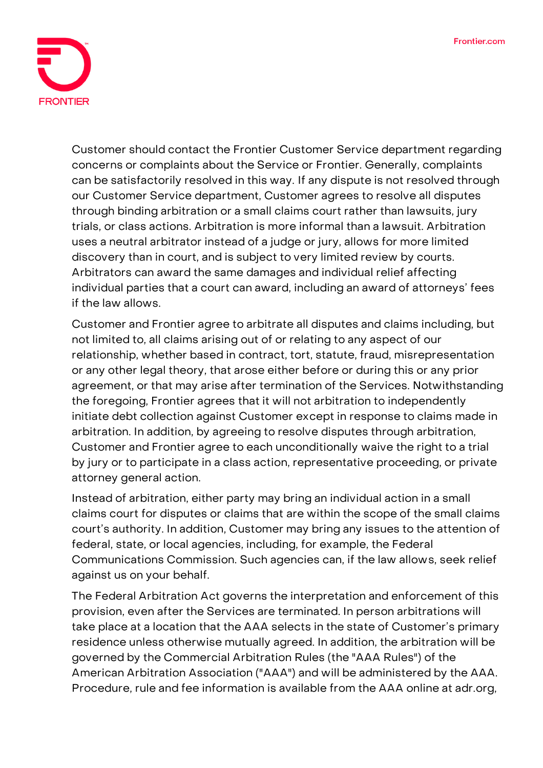

Customer should contact the Frontier Customer Service department regarding concerns or complaints about the Service or Frontier. Generally, complaints can be satisfactorily resolved in this way. If any dispute is not resolved through our Customer Service department, Customer agrees to resolve all disputes through binding arbitration or a small claims court rather than lawsuits, jury trials, or class actions. Arbitration is more informal than a lawsuit. Arbitration uses a neutral arbitrator instead of a judge or jury, allows for more limited discovery than in court, and is subject to very limited review by courts. Arbitrators can award the same damages and individual relief affecting individual parties that a court can award, including an award of attorneys' fees if the law allows.

Customer and Frontier agree to arbitrate all disputes and claims including, but not limited to, all claims arising out of or relating to any aspect of our relationship, whether based in contract, tort, statute, fraud, misrepresentation or any other legal theory, that arose either before or during this or any prior agreement, or that may arise after termination of the Services. Notwithstanding the foregoing, Frontier agrees that it will not arbitration to independently initiate debt collection against Customer except in response to claims made in arbitration. In addition, by agreeing to resolve disputes through arbitration, Customer and Frontier agree to each unconditionally waive the right to a trial by jury or to participate in a class action, representative proceeding, or private attorney general action.

Instead of arbitration, either party may bring an individual action in a small claims court for disputes or claims that are within the scope of the small claims court's authority. In addition, Customer may bring any issues to the attention of federal, state, or local agencies, including, for example, the Federal Communications Commission. Such agencies can, if the law allows, seek relief against us on your behalf.

The Federal Arbitration Act governs the interpretation and enforcement of this provision, even after the Services are terminated. In person arbitrations will take place at a location that the AAA selects in the state of Customer's primary residence unless otherwise mutually agreed. In addition, the arbitration will be governed by the Commercial Arbitration Rules (the "AAA Rules") of the American Arbitration Association ("AAA") and will be administered by the AAA. Procedure, rule and fee information is available from the AAA online at adr.org,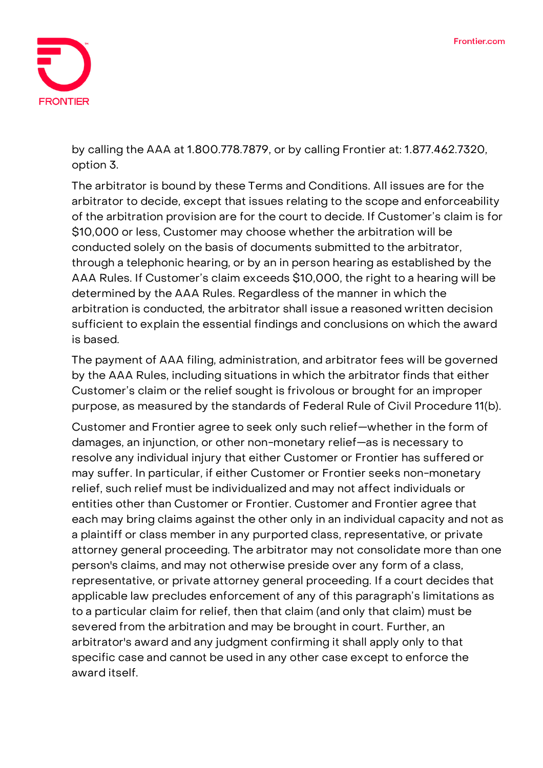

by calling the AAA at 1.800.778.7879, or by calling Frontier at: 1.877.462.7320, option 3.

The arbitrator is bound by these Terms and Conditions. All issues are for the arbitrator to decide, except that issues relating to the scope and enforceability of the arbitration provision are for the court to decide. If Customer's claim is for \$10,000 or less, Customer may choose whether the arbitration will be conducted solely on the basis of documents submitted to the arbitrator, through a telephonic hearing, or by an in person hearing as established by the AAA Rules. If Customer's claim exceeds \$10,000, the right to a hearing will be determined by the AAA Rules. Regardless of the manner in which the arbitration is conducted, the arbitrator shall issue a reasoned written decision sufficient to explain the essential findings and conclusions on which the award is based.

The payment of AAA filing, administration, and arbitrator fees will be governed by the AAA Rules, including situations in which the arbitrator finds that either Customer's claim or the relief sought is frivolous or brought for an improper purpose, as measured by the standards of Federal Rule of Civil Procedure 11(b).

Customer and Frontier agree to seek only such relief—whether in the form of damages, an injunction, or other non-monetary relief—as is necessary to resolve any individual injury that either Customer or Frontier has suffered or may suffer. In particular, if either Customer or Frontier seeks non-monetary relief, such relief must be individualized and may not affect individuals or entities other than Customer or Frontier. Customer and Frontier agree that each may bring claims against the other only in an individual capacity and not as a plaintiff or class member in any purported class, representative, or private attorney general proceeding. The arbitrator may not consolidate more than one person's claims, and may not otherwise preside over any form of a class, representative, or private attorney general proceeding. **If a court decides that applicable law precludes enforcement of any of this paragraph's limitations as to a particular claim for relief, then that claim (and only that claim) must be severed from the arbitration and may be brought in court.** Further, an arbitrator's award and any judgment confirming it shall apply only to that specific case and cannot be used in any other case except to enforce the award itself.